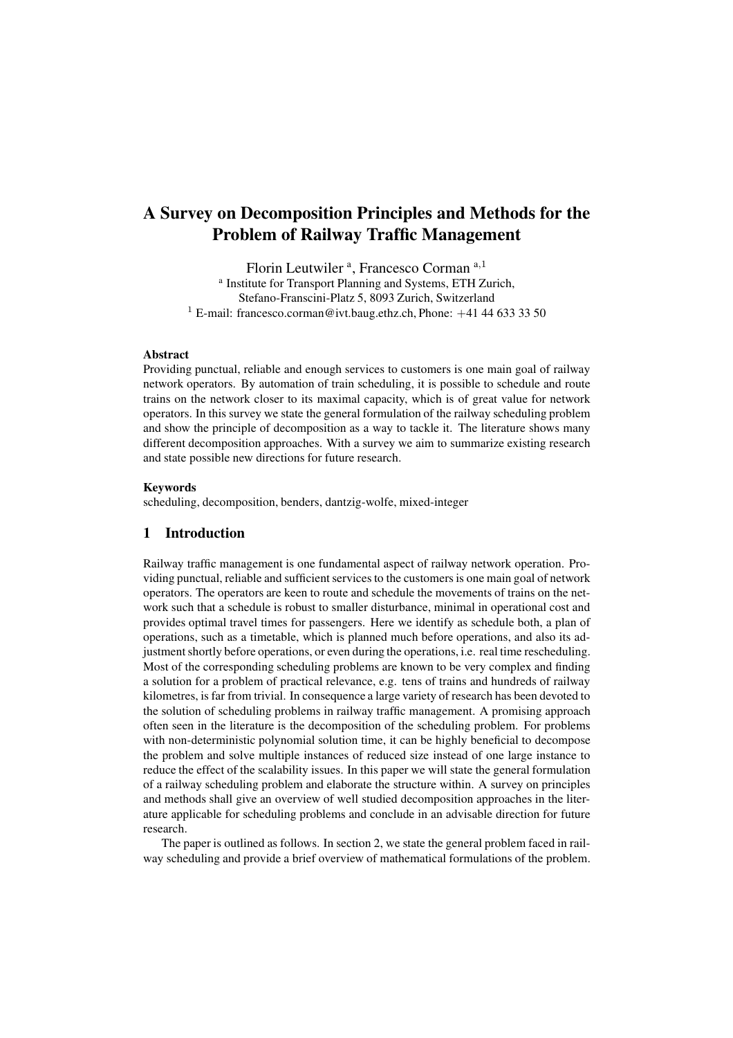# A Survey on Decomposition Principles and Methods for the Problem of Railway Traffic Management

Florin Leutwiler<sup>a</sup>, Francesco Corman a,1 a Institute for Transport Planning and Systems, ETH Zurich, Stefano-Franscini-Platz 5, 8093 Zurich, Switzerland <sup>1</sup> E-mail: francesco.corman@ivt.baug.ethz.ch, Phone:  $+41$  44 633 33 50

#### **Abstract**

Providing punctual, reliable and enough services to customers is one main goal of railway network operators. By automation of train scheduling, it is possible to schedule and route trains on the network closer to its maximal capacity, which is of great value for network operators. In this survey we state the general formulation of the railway scheduling problem and show the principle of decomposition as a way to tackle it. The literature shows many different decomposition approaches. With a survey we aim to summarize existing research and state possible new directions for future research.

#### Keywords

scheduling, decomposition, benders, dantzig-wolfe, mixed-integer

## 1 Introduction

Railway traffic management is one fundamental aspect of railway network operation. Providing punctual, reliable and sufficient services to the customers is one main goal of network operators. The operators are keen to route and schedule the movements of trains on the network such that a schedule is robust to smaller disturbance, minimal in operational cost and provides optimal travel times for passengers. Here we identify as schedule both, a plan of operations, such as a timetable, which is planned much before operations, and also its adjustment shortly before operations, or even during the operations, i.e. real time rescheduling. Most of the corresponding scheduling problems are known to be very complex and finding a solution for a problem of practical relevance, e.g. tens of trains and hundreds of railway kilometres, is far from trivial. In consequence a large variety of research has been devoted to the solution of scheduling problems in railway traffic management. A promising approach often seen in the literature is the decomposition of the scheduling problem. For problems with non-deterministic polynomial solution time, it can be highly beneficial to decompose the problem and solve multiple instances of reduced size instead of one large instance to reduce the effect of the scalability issues. In this paper we will state the general formulation of a railway scheduling problem and elaborate the structure within. A survey on principles and methods shall give an overview of well studied decomposition approaches in the literature applicable for scheduling problems and conclude in an advisable direction for future research.

The paper is outlined as follows. In section 2, we state the general problem faced in railway scheduling and provide a brief overview of mathematical formulations of the problem.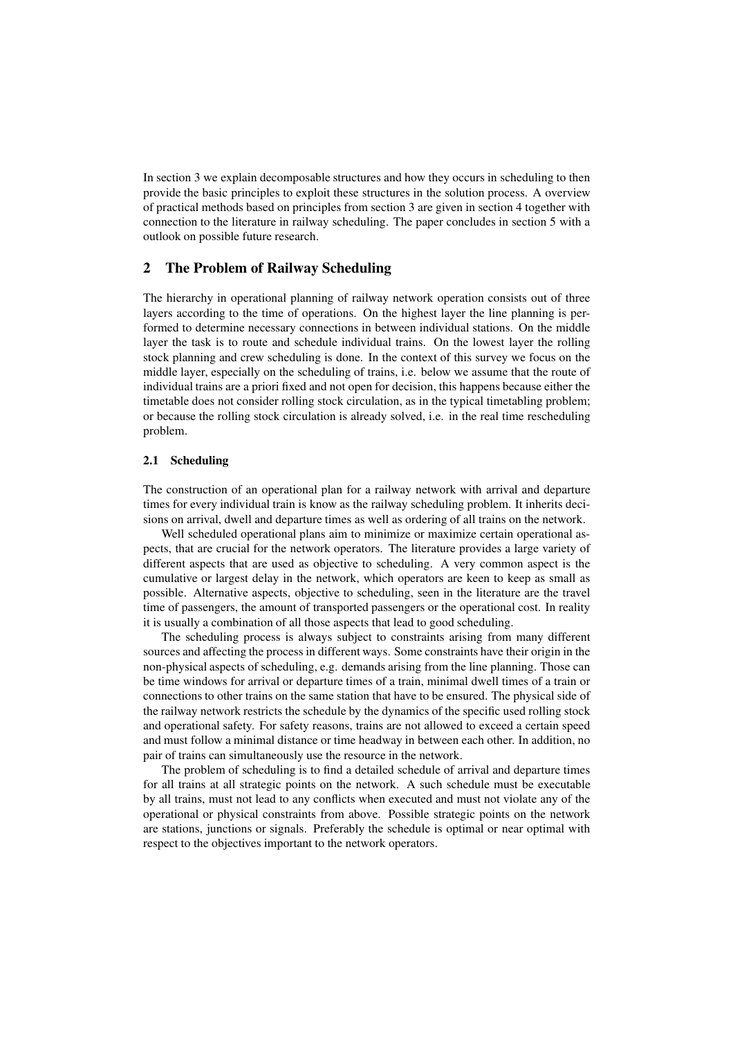In section 3 we explain decomposable structures and how they occurs in scheduling to then provide the basic principles to exploit these structures in the solution process. A overview of practical methods based on principles from section 3 are given in section 4 together with connection to the literature in railway scheduling. The paper concludes in section 5 with a outlook on possible future research.

## 2 The Problem of Railway Scheduling

The hierarchy in operational planning of railway network operation consists out of three layers according to the time of operations. On the highest layer the line planning is performed to determine necessary connections in between individual stations. On the middle layer the task is to route and schedule individual trains. On the lowest layer the rolling stock planning and crew scheduling is done. In the context of this survey we focus on the middle layer, especially on the scheduling of trains, i.e. below we assume that the route of individual trains are a priori fixed and not open for decision, this happens because either the timetable does not consider rolling stock circulation, as in the typical timetabling problem; or because the rolling stock circulation is already solved, i.e. in the real time rescheduling problem.

#### 2.1 Scheduling

The construction of an operational plan for a railway network with arrival and departure times for every individual train is know as the railway scheduling problem. It inherits decisions on arrival, dwell and departure times as well as ordering of all trains on the network.

Well scheduled operational plans aim to minimize or maximize certain operational aspects, that are crucial for the network operators. The literature provides a large variety of different aspects that are used as objective to scheduling. A very common aspect is the cumulative or largest delay in the network, which operators are keen to keep as small as possible. Alternative aspects, objective to scheduling, seen in the literature are the travel time of passengers, the amount of transported passengers or the operational cost. In reality it is usually a combination of all those aspects that lead to good scheduling.

The scheduling process is always subject to constraints arising from many different sources and affecting the process in different ways. Some constraints have their origin in the non-physical aspects of scheduling, e.g. demands arising from the line planning. Those can be time windows for arrival or departure times of a train, minimal dwell times of a train or connections to other trains on the same station that have to be ensured. The physical side of the railway network restricts the schedule by the dynamics of the specific used rolling stock and operational safety. For safety reasons, trains are not allowed to exceed a certain speed and must follow a minimal distance or time headway in between each other. In addition, no pair of trains can simultaneously use the resource in the network.

The problem of scheduling is to find a detailed schedule of arrival and departure times for all trains at all strategic points on the network. A such schedule must be executable by all trains, must not lead to any conflicts when executed and must not violate any of the operational or physical constraints from above. Possible strategic points on the network are stations, junctions or signals. Preferably the schedule is optimal or near optimal with respect to the objectives important to the network operators.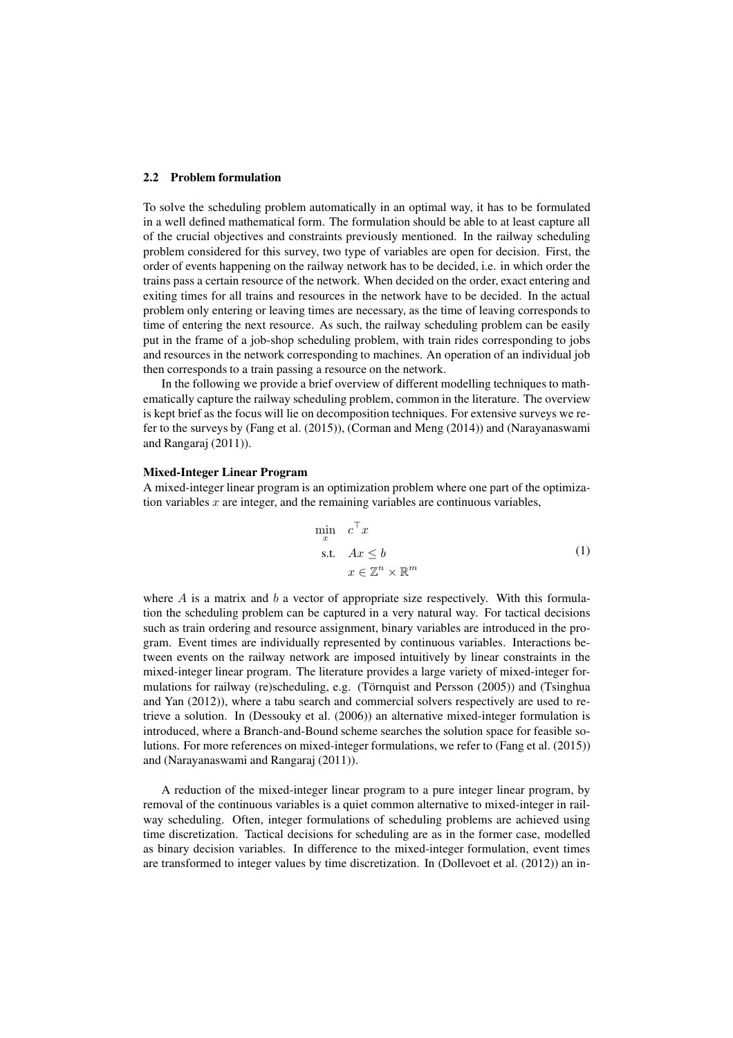#### 2.2 Problem formulation

To solve the scheduling problem automatically in an optimal way, it has to be formulated in a well defined mathematical form. The formulation should be able to at least capture all of the crucial objectives and constraints previously mentioned. In the railway scheduling problem considered for this survey, two type of variables are open for decision. First, the order of events happening on the railway network has to be decided, i.e. in which order the trains pass a certain resource of the network. When decided on the order, exact entering and exiting times for all trains and resources in the network have to be decided. In the actual problem only entering or leaving times are necessary, as the time of leaving corresponds to time of entering the next resource. As such, the railway scheduling problem can be easily put in the frame of a job-shop scheduling problem, with train rides corresponding to jobs and resources in the network corresponding to machines. An operation of an individual job then corresponds to a train passing a resource on the network.

In the following we provide a brief overview of different modelling techniques to mathematically capture the railway scheduling problem, common in the literature. The overview is kept brief as the focus will lie on decomposition techniques. For extensive surveys we refer to the surveys by (Fang et al. (2015)), (Corman and Meng (2014)) and (Narayanaswami and Rangaraj (2011)).

#### Mixed-Integer Linear Program

A mixed-integer linear program is an optimization problem where one part of the optimization variables  $x$  are integer, and the remaining variables are continuous variables,

$$
\min_{x} c^{\top} x
$$
\n
$$
\text{s.t.} \quad Ax \leq b
$$
\n
$$
x \in \mathbb{Z}^{n} \times \mathbb{R}^{m}
$$
\n
$$
(1)
$$

where  $A$  is a matrix and  $b$  a vector of appropriate size respectively. With this formulation the scheduling problem can be captured in a very natural way. For tactical decisions such as train ordering and resource assignment, binary variables are introduced in the program. Event times are individually represented by continuous variables. Interactions between events on the railway network are imposed intuitively by linear constraints in the mixed-integer linear program. The literature provides a large variety of mixed-integer formulations for railway (re)scheduling, e.g. (Törnquist and Persson (2005)) and (Tsinghua and Yan (2012)), where a tabu search and commercial solvers respectively are used to retrieve a solution. In (Dessouky et al. (2006)) an alternative mixed-integer formulation is introduced, where a Branch-and-Bound scheme searches the solution space for feasible solutions. For more references on mixed-integer formulations, we refer to (Fang et al. (2015)) and (Narayanaswami and Rangaraj (2011)).

A reduction of the mixed-integer linear program to a pure integer linear program, by removal of the continuous variables is a quiet common alternative to mixed-integer in railway scheduling. Often, integer formulations of scheduling problems are achieved using time discretization. Tactical decisions for scheduling are as in the former case, modelled as binary decision variables. In difference to the mixed-integer formulation, event times are transformed to integer values by time discretization. In (Dollevoet et al. (2012)) an in-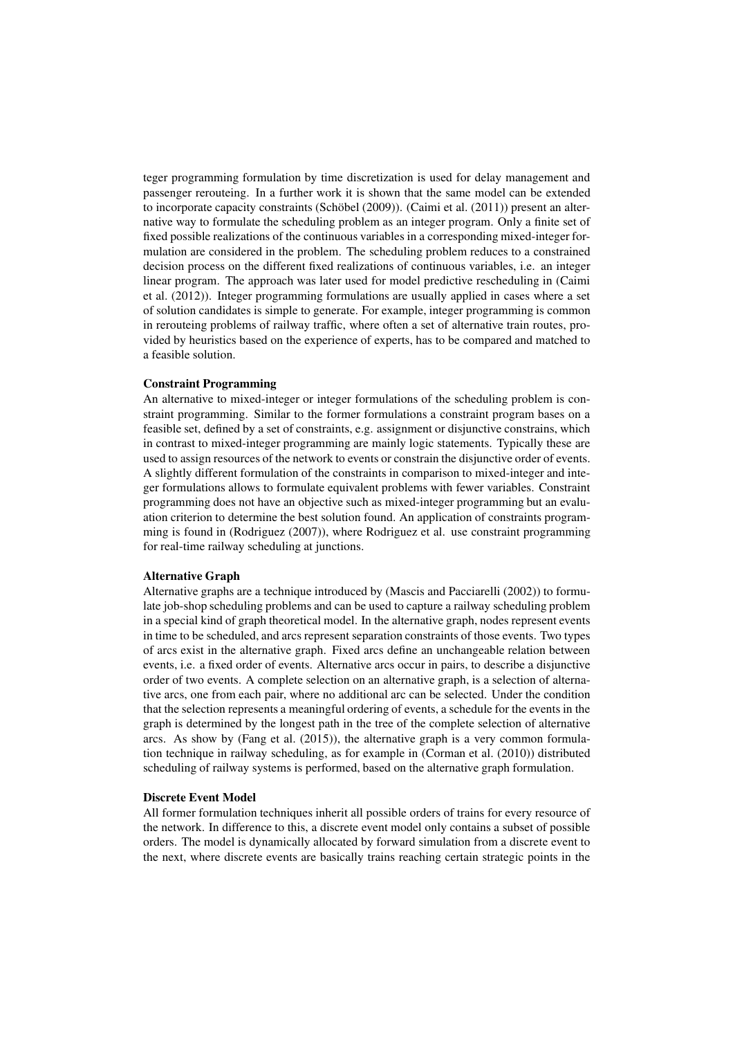teger programming formulation by time discretization is used for delay management and passenger rerouteing. In a further work it is shown that the same model can be extended to incorporate capacity constraints (Schöbel  $(2009)$ ). (Caimi et al.  $(2011)$ ) present an alternative way to formulate the scheduling problem as an integer program. Only a finite set of fixed possible realizations of the continuous variables in a corresponding mixed-integer formulation are considered in the problem. The scheduling problem reduces to a constrained decision process on the different fixed realizations of continuous variables, i.e. an integer linear program. The approach was later used for model predictive rescheduling in (Caimi et al. (2012)). Integer programming formulations are usually applied in cases where a set of solution candidates is simple to generate. For example, integer programming is common in rerouteing problems of railway traffic, where often a set of alternative train routes, provided by heuristics based on the experience of experts, has to be compared and matched to a feasible solution.

#### Constraint Programming

An alternative to mixed-integer or integer formulations of the scheduling problem is constraint programming. Similar to the former formulations a constraint program bases on a feasible set, defined by a set of constraints, e.g. assignment or disjunctive constrains, which in contrast to mixed-integer programming are mainly logic statements. Typically these are used to assign resources of the network to events or constrain the disjunctive order of events. A slightly different formulation of the constraints in comparison to mixed-integer and integer formulations allows to formulate equivalent problems with fewer variables. Constraint programming does not have an objective such as mixed-integer programming but an evaluation criterion to determine the best solution found. An application of constraints programming is found in (Rodriguez (2007)), where Rodriguez et al. use constraint programming for real-time railway scheduling at junctions.

#### Alternative Graph

Alternative graphs are a technique introduced by (Mascis and Pacciarelli (2002)) to formulate job-shop scheduling problems and can be used to capture a railway scheduling problem in a special kind of graph theoretical model. In the alternative graph, nodes represent events in time to be scheduled, and arcs represent separation constraints of those events. Two types of arcs exist in the alternative graph. Fixed arcs define an unchangeable relation between events, i.e. a fixed order of events. Alternative arcs occur in pairs, to describe a disjunctive order of two events. A complete selection on an alternative graph, is a selection of alternative arcs, one from each pair, where no additional arc can be selected. Under the condition that the selection represents a meaningful ordering of events, a schedule for the events in the graph is determined by the longest path in the tree of the complete selection of alternative arcs. As show by (Fang et al. (2015)), the alternative graph is a very common formulation technique in railway scheduling, as for example in (Corman et al. (2010)) distributed scheduling of railway systems is performed, based on the alternative graph formulation.

#### Discrete Event Model

All former formulation techniques inherit all possible orders of trains for every resource of the network. In difference to this, a discrete event model only contains a subset of possible orders. The model is dynamically allocated by forward simulation from a discrete event to the next, where discrete events are basically trains reaching certain strategic points in the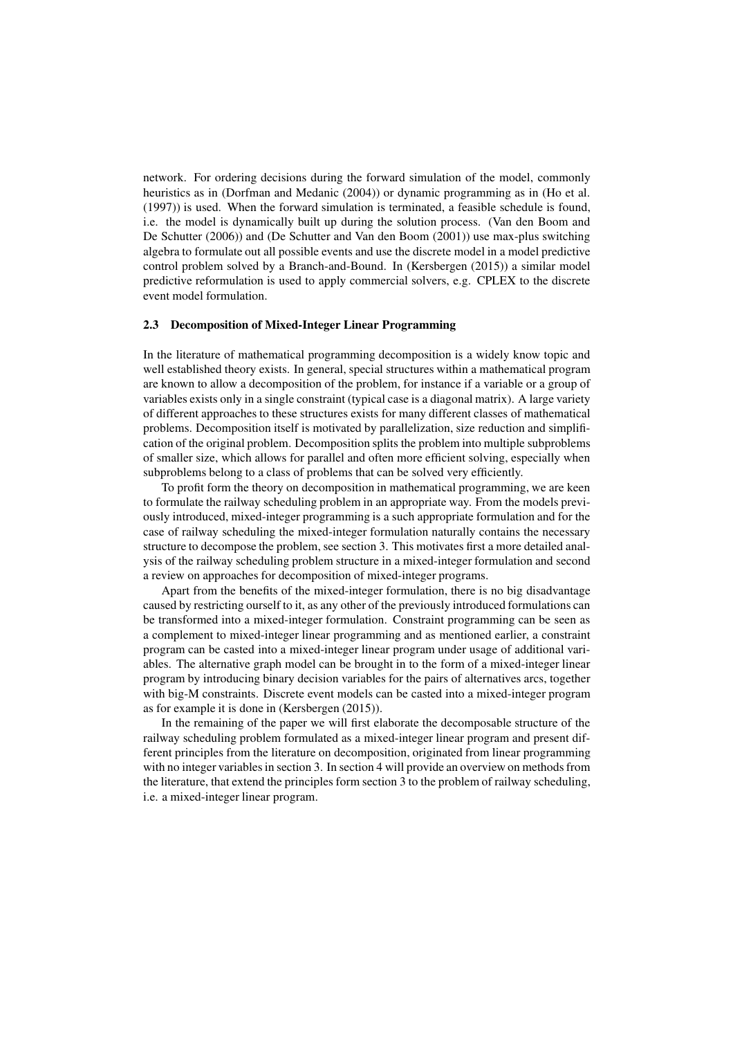network. For ordering decisions during the forward simulation of the model, commonly heuristics as in (Dorfman and Medanic (2004)) or dynamic programming as in (Ho et al. (1997)) is used. When the forward simulation is terminated, a feasible schedule is found, i.e. the model is dynamically built up during the solution process. (Van den Boom and De Schutter (2006)) and (De Schutter and Van den Boom (2001)) use max-plus switching algebra to formulate out all possible events and use the discrete model in a model predictive control problem solved by a Branch-and-Bound. In (Kersbergen (2015)) a similar model predictive reformulation is used to apply commercial solvers, e.g. CPLEX to the discrete event model formulation.

#### 2.3 Decomposition of Mixed-Integer Linear Programming

In the literature of mathematical programming decomposition is a widely know topic and well established theory exists. In general, special structures within a mathematical program are known to allow a decomposition of the problem, for instance if a variable or a group of variables exists only in a single constraint (typical case is a diagonal matrix). A large variety of different approaches to these structures exists for many different classes of mathematical problems. Decomposition itself is motivated by parallelization, size reduction and simplification of the original problem. Decomposition splits the problem into multiple subproblems of smaller size, which allows for parallel and often more efficient solving, especially when subproblems belong to a class of problems that can be solved very efficiently.

To profit form the theory on decomposition in mathematical programming, we are keen to formulate the railway scheduling problem in an appropriate way. From the models previously introduced, mixed-integer programming is a such appropriate formulation and for the case of railway scheduling the mixed-integer formulation naturally contains the necessary structure to decompose the problem, see section 3. This motivates first a more detailed analysis of the railway scheduling problem structure in a mixed-integer formulation and second a review on approaches for decomposition of mixed-integer programs.

Apart from the benefits of the mixed-integer formulation, there is no big disadvantage caused by restricting ourself to it, as any other of the previously introduced formulations can be transformed into a mixed-integer formulation. Constraint programming can be seen as a complement to mixed-integer linear programming and as mentioned earlier, a constraint program can be casted into a mixed-integer linear program under usage of additional variables. The alternative graph model can be brought in to the form of a mixed-integer linear program by introducing binary decision variables for the pairs of alternatives arcs, together with big-M constraints. Discrete event models can be casted into a mixed-integer program as for example it is done in (Kersbergen (2015)).

In the remaining of the paper we will first elaborate the decomposable structure of the railway scheduling problem formulated as a mixed-integer linear program and present different principles from the literature on decomposition, originated from linear programming with no integer variables in section 3. In section 4 will provide an overview on methods from the literature, that extend the principles form section 3 to the problem of railway scheduling, i.e. a mixed-integer linear program.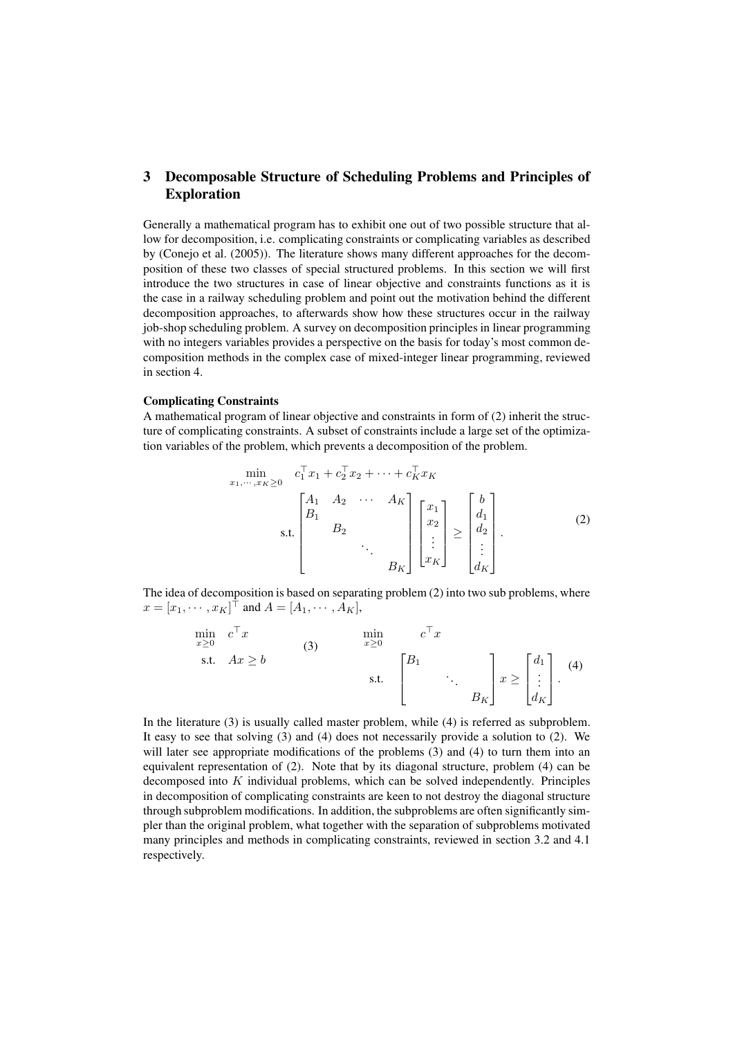## 3 Decomposable Structure of Scheduling Problems and Principles of Exploration

Generally a mathematical program has to exhibit one out of two possible structure that allow for decomposition, i.e. complicating constraints or complicating variables as described by (Conejo et al. (2005)). The literature shows many different approaches for the decomposition of these two classes of special structured problems. In this section we will first introduce the two structures in case of linear objective and constraints functions as it is the case in a railway scheduling problem and point out the motivation behind the different decomposition approaches, to afterwards show how these structures occur in the railway job-shop scheduling problem. A survey on decomposition principles in linear programming with no integers variables provides a perspective on the basis for today's most common decomposition methods in the complex case of mixed-integer linear programming, reviewed in section 4.

## Complicating Constraints

A mathematical program of linear objective and constraints in form of (2) inherit the structure of complicating constraints. A subset of constraints include a large set of the optimization variables of the problem, which prevents a decomposition of the problem.

$$
\min_{x_1, \dots, x_K \ge 0} \quad c_1^\top x_1 + c_2^\top x_2 + \dots + c_K^\top x_K
$$
\n
$$
\text{s.t.} \begin{bmatrix} A_1 & A_2 & \cdots & A_K \\ B_1 & & & \\ & B_2 & & \\ & & \ddots & \\ & & & B_K \end{bmatrix} \begin{bmatrix} x_1 \\ x_2 \\ \vdots \\ x_K \end{bmatrix} \ge \begin{bmatrix} b \\ d_1 \\ d_2 \\ \vdots \\ d_K \end{bmatrix} . \tag{2}
$$

The idea of decomposition is based on separating problem (2) into two sub problems, where  $x = [x_1, \cdots, x_K]^\top$  and  $A = [A_1, \cdots, A_K]$ ,

$$
\min_{x \ge 0} c^{\top} x
$$
\n
$$
\text{s.t.} \quad Ax \ge b
$$
\n
$$
\text{s.t.} \quad \begin{bmatrix} B_1 \\ \vdots \\ B_K \end{bmatrix} x \ge \begin{bmatrix} d_1 \\ \vdots \\ d_K \end{bmatrix} . \tag{4}
$$

In the literature (3) is usually called master problem, while (4) is referred as subproblem. It easy to see that solving (3) and (4) does not necessarily provide a solution to (2). We will later see appropriate modifications of the problems (3) and (4) to turn them into an equivalent representation of (2). Note that by its diagonal structure, problem (4) can be decomposed into  $K$  individual problems, which can be solved independently. Principles in decomposition of complicating constraints are keen to not destroy the diagonal structure through subproblem modifications. In addition, the subproblems are often significantly simpler than the original problem, what together with the separation of subproblems motivated many principles and methods in complicating constraints, reviewed in section 3.2 and 4.1 respectively.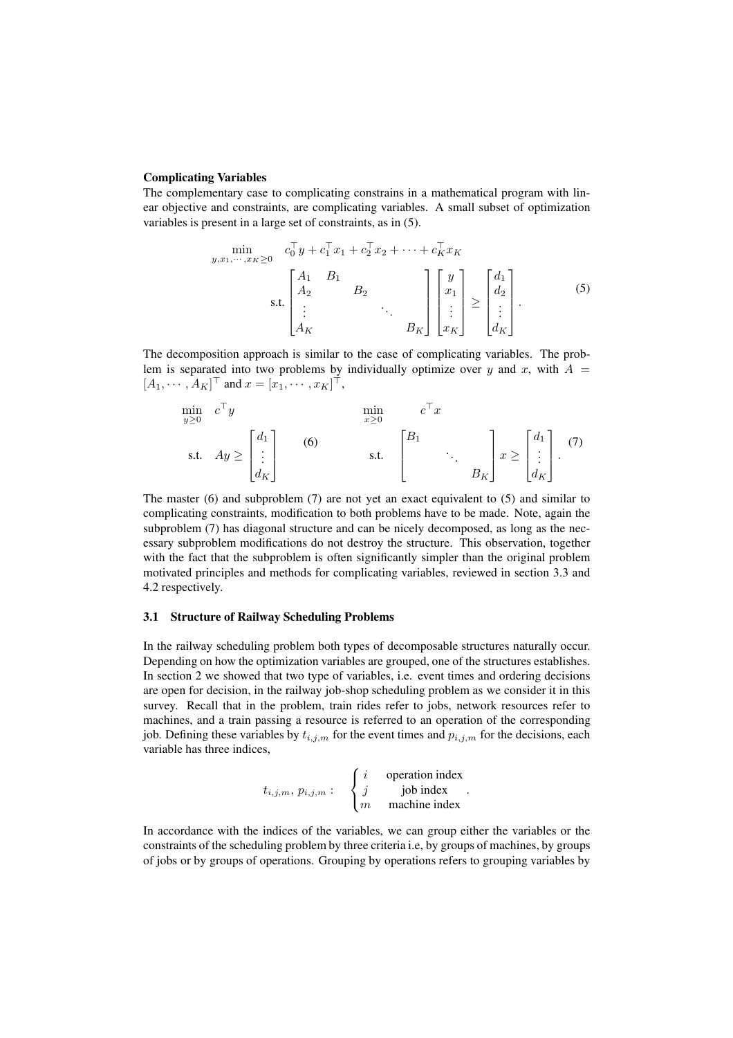#### Complicating Variables

The complementary case to complicating constrains in a mathematical program with linear objective and constraints, are complicating variables. A small subset of optimization variables is present in a large set of constraints, as in (5).

$$
\min_{y,x_1,\dots,x_K \ge 0} \quad c_0^{\top} y + c_1^{\top} x_1 + c_2^{\top} x_2 + \dots + c_K^{\top} x_K
$$
\n
$$
\text{s.t.} \begin{bmatrix} A_1 & B_1 \\ A_2 & B_2 \\ \vdots & \ddots \\ A_K & & B_K \end{bmatrix} \begin{bmatrix} y \\ x_1 \\ \vdots \\ x_K \end{bmatrix} \ge \begin{bmatrix} d_1 \\ d_2 \\ \vdots \\ d_K \end{bmatrix} . \tag{5}
$$

The decomposition approach is similar to the case of complicating variables. The problem is separated into two problems by individually optimize over  $y$  and  $x$ , with  $A =$  $[A_1, \cdots, A_K]^\top$  and  $x = [x_1, \cdots, x_K]^\top$ ,

$$
\min_{y \ge 0} c^{\top} y \qquad \min_{x \ge 0} c^{\top} x
$$
\n
$$
\text{s.t.} \quad Ay \ge \begin{bmatrix} d_1 \\ \vdots \\ d_K \end{bmatrix} \qquad\n\text{(6)} \qquad\n\text{s.t.} \qquad\n\begin{bmatrix} B_1 \\ \vdots \\ B_K \end{bmatrix} \qquad\n\therefore \qquad\n\begin{bmatrix} d_1 \\ \vdots \\ d_K \end{bmatrix}.\n\qquad\n\tag{7}
$$

The master (6) and subproblem (7) are not yet an exact equivalent to (5) and similar to complicating constraints, modification to both problems have to be made. Note, again the subproblem (7) has diagonal structure and can be nicely decomposed, as long as the necessary subproblem modifications do not destroy the structure. This observation, together with the fact that the subproblem is often significantly simpler than the original problem motivated principles and methods for complicating variables, reviewed in section 3.3 and 4.2 respectively.

## 3.1 Structure of Railway Scheduling Problems

In the railway scheduling problem both types of decomposable structures naturally occur. Depending on how the optimization variables are grouped, one of the structures establishes. In section 2 we showed that two type of variables, i.e. event times and ordering decisions are open for decision, in the railway job-shop scheduling problem as we consider it in this survey. Recall that in the problem, train rides refer to jobs, network resources refer to machines, and a train passing a resource is referred to an operation of the corresponding job. Defining these variables by  $t_{i,j,m}$  for the event times and  $p_{i,j,m}$  for the decisions, each variable has three indices,

$$
t_{i,j,m}, p_{i,j,m}: \begin{cases} i & \text{operation index} \\ j & \text{job index} \\ m & \text{machine index} \end{cases}.
$$

In accordance with the indices of the variables, we can group either the variables or the constraints of the scheduling problem by three criteria i.e, by groups of machines, by groups of jobs or by groups of operations. Grouping by operations refers to grouping variables by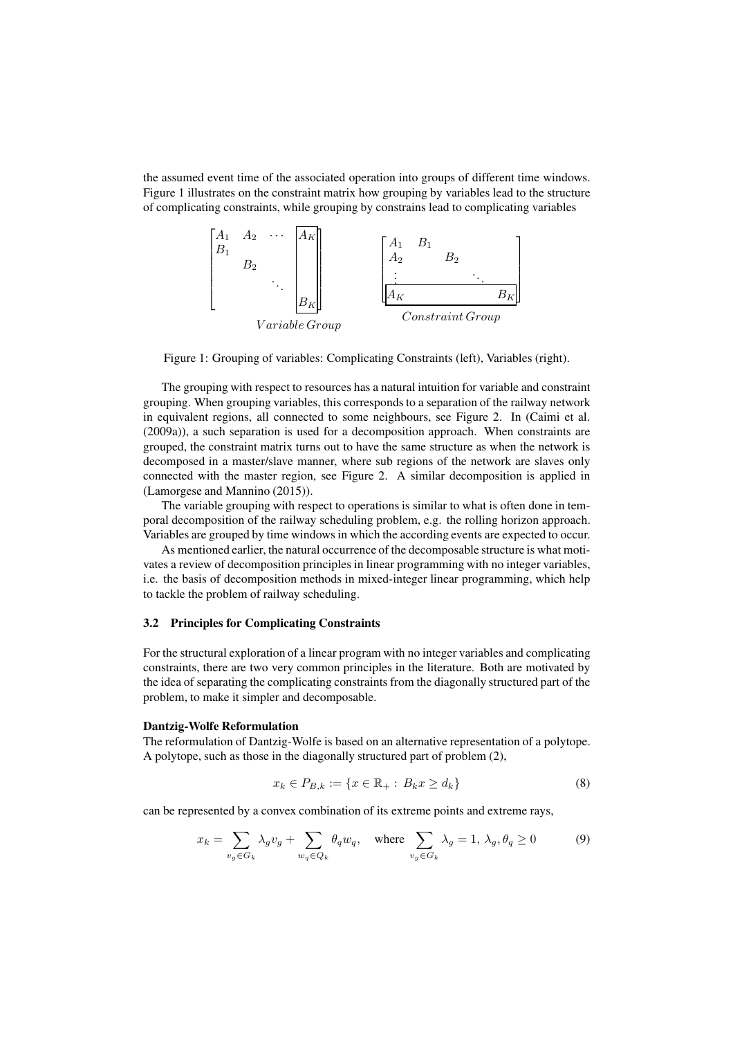the assumed event time of the associated operation into groups of different time windows. Figure 1 illustrates on the constraint matrix how grouping by variables lead to the structure of complicating constraints, while grouping by constrains lead to complicating variables



Figure 1: Grouping of variables: Complicating Constraints (left), Variables (right).

The grouping with respect to resources has a natural intuition for variable and constraint grouping. When grouping variables, this corresponds to a separation of the railway network in equivalent regions, all connected to some neighbours, see Figure 2. In (Caimi et al. (2009a)), a such separation is used for a decomposition approach. When constraints are grouped, the constraint matrix turns out to have the same structure as when the network is decomposed in a master/slave manner, where sub regions of the network are slaves only connected with the master region, see Figure 2. A similar decomposition is applied in (Lamorgese and Mannino (2015)).

The variable grouping with respect to operations is similar to what is often done in temporal decomposition of the railway scheduling problem, e.g. the rolling horizon approach. Variables are grouped by time windows in which the according events are expected to occur.

As mentioned earlier, the natural occurrence of the decomposable structure is what motivates a review of decomposition principles in linear programming with no integer variables, i.e. the basis of decomposition methods in mixed-integer linear programming, which help to tackle the problem of railway scheduling.

#### 3.2 Principles for Complicating Constraints

For the structural exploration of a linear program with no integer variables and complicating constraints, there are two very common principles in the literature. Both are motivated by the idea of separating the complicating constraints from the diagonally structured part of the problem, to make it simpler and decomposable.

#### Dantzig-Wolfe Reformulation

The reformulation of Dantzig-Wolfe is based on an alternative representation of a polytope. A polytope, such as those in the diagonally structured part of problem (2),

$$
x_k \in P_{B,k} := \{ x \in \mathbb{R}_+ : B_k x \ge d_k \}
$$
 (8)

can be represented by a convex combination of its extreme points and extreme rays,

$$
x_k = \sum_{v_g \in G_k} \lambda_g v_g + \sum_{w_q \in Q_k} \theta_q w_q, \quad \text{where } \sum_{v_g \in G_k} \lambda_g = 1, \lambda_g, \theta_q \ge 0 \tag{9}
$$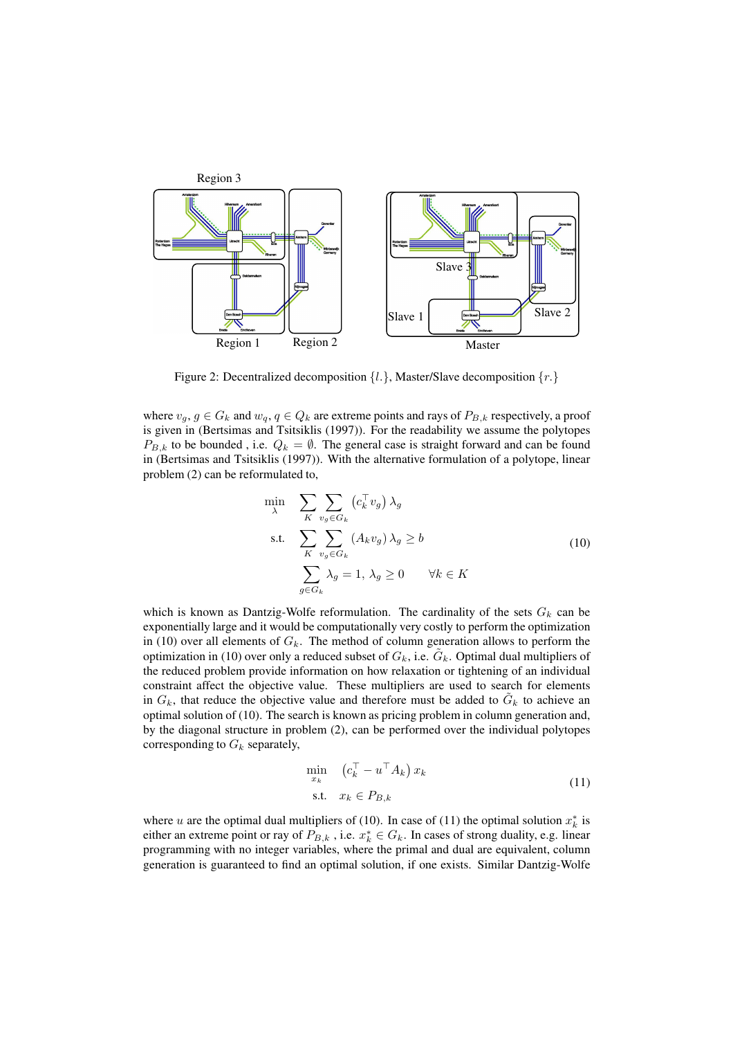

Figure 2: Decentralized decomposition  $\{l.\}$ , Master/Slave decomposition  $\{r.\}$ 

where  $v_g, g \in G_k$  and  $w_g, q \in Q_k$  are extreme points and rays of  $P_{B,k}$  respectively, a proof is given in (Bertsimas and Tsitsiklis (1997)). For the readability we assume the polytopes  $P_{B,k}$  to be bounded, i.e.  $Q_k = \emptyset$ . The general case is straight forward and can be found in (Bertsimas and Tsitsiklis (1997)). With the alternative formulation of a polytope, linear problem (2) can be reformulated to,

$$
\min_{\lambda} \sum_{K} \sum_{v_g \in G_k} (c_k^{\top} v_g) \lambda_g
$$
\n
$$
\text{s.t.} \sum_{K} \sum_{v_g \in G_k} (A_k v_g) \lambda_g \ge b
$$
\n
$$
\sum_{g \in G_k} \lambda_g = 1, \lambda_g \ge 0 \qquad \forall k \in K
$$
\n
$$
(10)
$$

which is known as Dantzig-Wolfe reformulation. The cardinality of the sets  $G_k$  can be exponentially large and it would be computationally very costly to perform the optimization in (10) over all elements of  $G_k$ . The method of column generation allows to perform the optimization in (10) over only a reduced subset of  $G_k$ , i.e.  $\tilde{G}_k$ . Optimal dual multipliers of the reduced problem provide information on how relaxation or tightening of an individual constraint affect the objective value. These multipliers are used to search for elements in  $G_k$ , that reduce the objective value and therefore must be added to  $\tilde{G}_k$  to achieve an optimal solution of (10). The search is known as pricing problem in column generation and, by the diagonal structure in problem (2), can be performed over the individual polytopes corresponding to  $G_k$  separately,

$$
\min_{x_k} \quad (c_k^\top - u^\top A_k) \, x_k
$$
\n
$$
\text{s.t.} \quad x_k \in P_{B,k} \tag{11}
$$

where u are the optimal dual multipliers of (10). In case of (11) the optimal solution  $x_k^*$  is either an extreme point or ray of  $P_{B,k}$ , i.e.  $x_k^* \in G_k$ . In cases of strong duality, e.g. linear programming with no integer variables, where the primal and dual are equivalent, column generation is guaranteed to find an optimal solution, if one exists. Similar Dantzig-Wolfe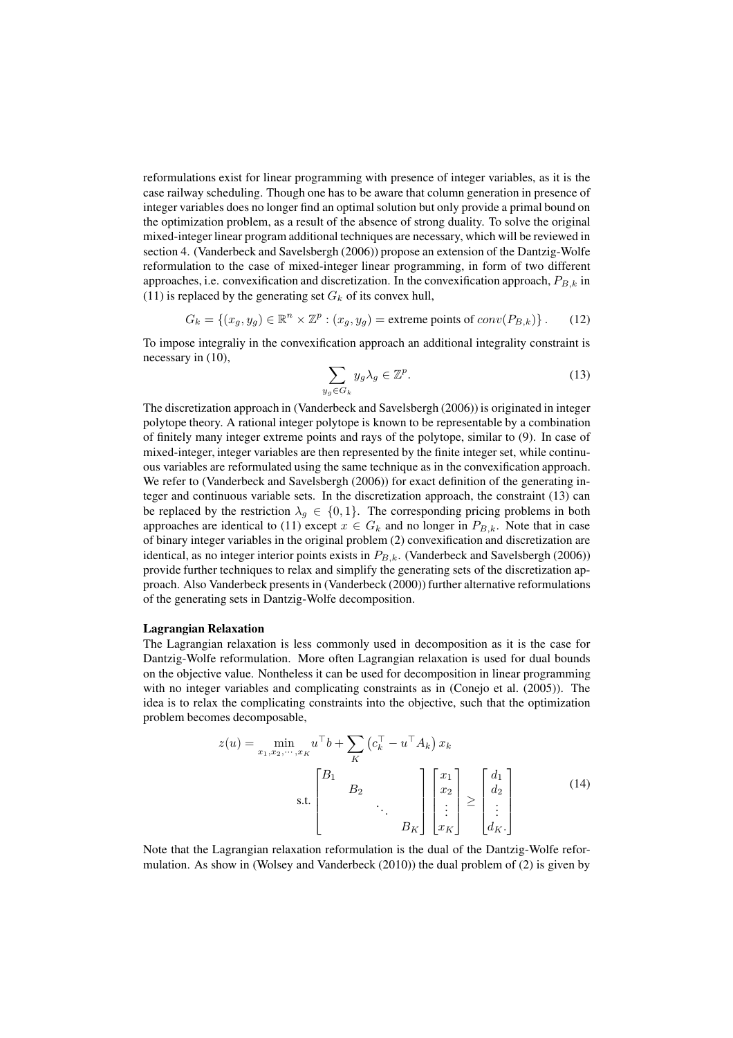reformulations exist for linear programming with presence of integer variables, as it is the case railway scheduling. Though one has to be aware that column generation in presence of integer variables does no longer find an optimal solution but only provide a primal bound on the optimization problem, as a result of the absence of strong duality. To solve the original mixed-integer linear program additional techniques are necessary, which will be reviewed in section 4. (Vanderbeck and Savelsbergh (2006)) propose an extension of the Dantzig-Wolfe reformulation to the case of mixed-integer linear programming, in form of two different approaches, i.e. convexification and discretization. In the convexification approach,  $P_{B,k}$  in (11) is replaced by the generating set  $G_k$  of its convex hull,

$$
G_k = \{(x_g, y_g) \in \mathbb{R}^n \times \mathbb{Z}^p : (x_g, y_g) = \text{extreme points of } conv(P_{B,k})\}.
$$
 (12)

To impose integraliy in the convexification approach an additional integrality constraint is necessary in (10),

$$
\sum_{y_g \in G_k} y_g \lambda_g \in \mathbb{Z}^p. \tag{13}
$$

The discretization approach in (Vanderbeck and Savelsbergh (2006)) is originated in integer polytope theory. A rational integer polytope is known to be representable by a combination of finitely many integer extreme points and rays of the polytope, similar to (9). In case of mixed-integer, integer variables are then represented by the finite integer set, while continuous variables are reformulated using the same technique as in the convexification approach. We refer to (Vanderbeck and Savelsbergh (2006)) for exact definition of the generating integer and continuous variable sets. In the discretization approach, the constraint (13) can be replaced by the restriction  $\lambda_q \in \{0, 1\}$ . The corresponding pricing problems in both approaches are identical to (11) except  $x \in G_k$  and no longer in  $P_{B,k}$ . Note that in case of binary integer variables in the original problem (2) convexification and discretization are identical, as no integer interior points exists in  $P_{B,k}$ . (Vanderbeck and Savelsbergh (2006)) provide further techniques to relax and simplify the generating sets of the discretization approach. Also Vanderbeck presents in (Vanderbeck (2000)) further alternative reformulations of the generating sets in Dantzig-Wolfe decomposition.

#### Lagrangian Relaxation

The Lagrangian relaxation is less commonly used in decomposition as it is the case for Dantzig-Wolfe reformulation. More often Lagrangian relaxation is used for dual bounds on the objective value. Nontheless it can be used for decomposition in linear programming with no integer variables and complicating constraints as in (Conejo et al. (2005)). The idea is to relax the complicating constraints into the objective, such that the optimization problem becomes decomposable,

$$
z(u) = \min_{x_1, x_2, \cdots, x_K} u^{\top} b + \sum_{K} \left( c_k^{\top} - u^{\top} A_k \right) x_k
$$
  
s.t. 
$$
\begin{bmatrix} B_1 & & \\ & B_2 & \\ & & \ddots \\ & & & B_K \end{bmatrix} \begin{bmatrix} x_1 \\ x_2 \\ \vdots \\ x_K \end{bmatrix} \ge \begin{bmatrix} d_1 \\ d_2 \\ \vdots \\ d_K \end{bmatrix}
$$
 (14)

Note that the Lagrangian relaxation reformulation is the dual of the Dantzig-Wolfe reformulation. As show in (Wolsey and Vanderbeck (2010)) the dual problem of (2) is given by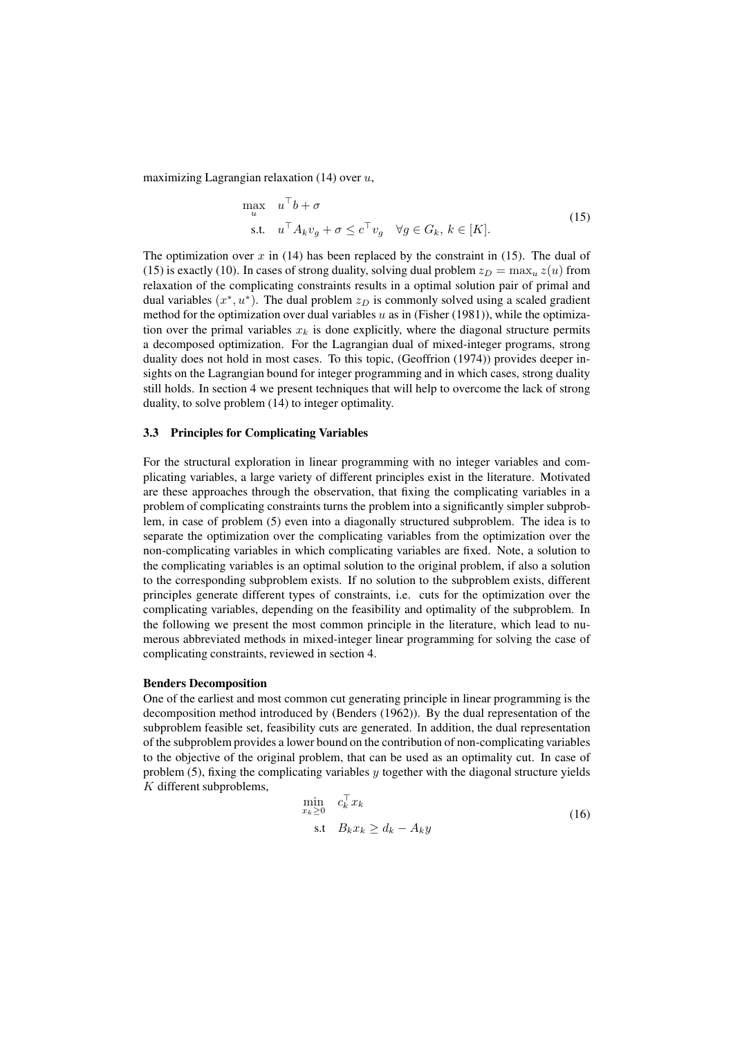maximizing Lagrangian relaxation  $(14)$  over  $u$ ,

$$
\max_{u} \quad u^{\top} b + \sigma
$$
\n
$$
\text{s.t.} \quad u^{\top} A_k v_g + \sigma \le c^{\top} v_g \quad \forall g \in G_k, \, k \in [K].
$$
\n
$$
(15)
$$

The optimization over x in  $(14)$  has been replaced by the constraint in  $(15)$ . The dual of (15) is exactly (10). In cases of strong duality, solving dual problem  $z_D = \max_u z(u)$  from relaxation of the complicating constraints results in a optimal solution pair of primal and dual variables  $(x^*, u^*)$ . The dual problem  $z_D$  is commonly solved using a scaled gradient method for the optimization over dual variables  $u$  as in (Fisher (1981)), while the optimization over the primal variables  $x_k$  is done explicitly, where the diagonal structure permits a decomposed optimization. For the Lagrangian dual of mixed-integer programs, strong duality does not hold in most cases. To this topic, (Geoffrion (1974)) provides deeper insights on the Lagrangian bound for integer programming and in which cases, strong duality still holds. In section 4 we present techniques that will help to overcome the lack of strong duality, to solve problem (14) to integer optimality.

#### 3.3 Principles for Complicating Variables

For the structural exploration in linear programming with no integer variables and complicating variables, a large variety of different principles exist in the literature. Motivated are these approaches through the observation, that fixing the complicating variables in a problem of complicating constraints turns the problem into a significantly simpler subproblem, in case of problem (5) even into a diagonally structured subproblem. The idea is to separate the optimization over the complicating variables from the optimization over the non-complicating variables in which complicating variables are fixed. Note, a solution to the complicating variables is an optimal solution to the original problem, if also a solution to the corresponding subproblem exists. If no solution to the subproblem exists, different principles generate different types of constraints, i.e. cuts for the optimization over the complicating variables, depending on the feasibility and optimality of the subproblem. In the following we present the most common principle in the literature, which lead to numerous abbreviated methods in mixed-integer linear programming for solving the case of complicating constraints, reviewed in section 4.

#### Benders Decomposition

One of the earliest and most common cut generating principle in linear programming is the decomposition method introduced by (Benders (1962)). By the dual representation of the subproblem feasible set, feasibility cuts are generated. In addition, the dual representation of the subproblem provides a lower bound on the contribution of non-complicating variables to the objective of the original problem, that can be used as an optimality cut. In case of problem  $(5)$ , fixing the complicating variables y together with the diagonal structure yields K different subproblems,

$$
\min_{x_k \ge 0} c_k^\top x_k
$$
\n
$$
\text{s.t} \quad B_k x_k \ge d_k - A_k y \tag{16}
$$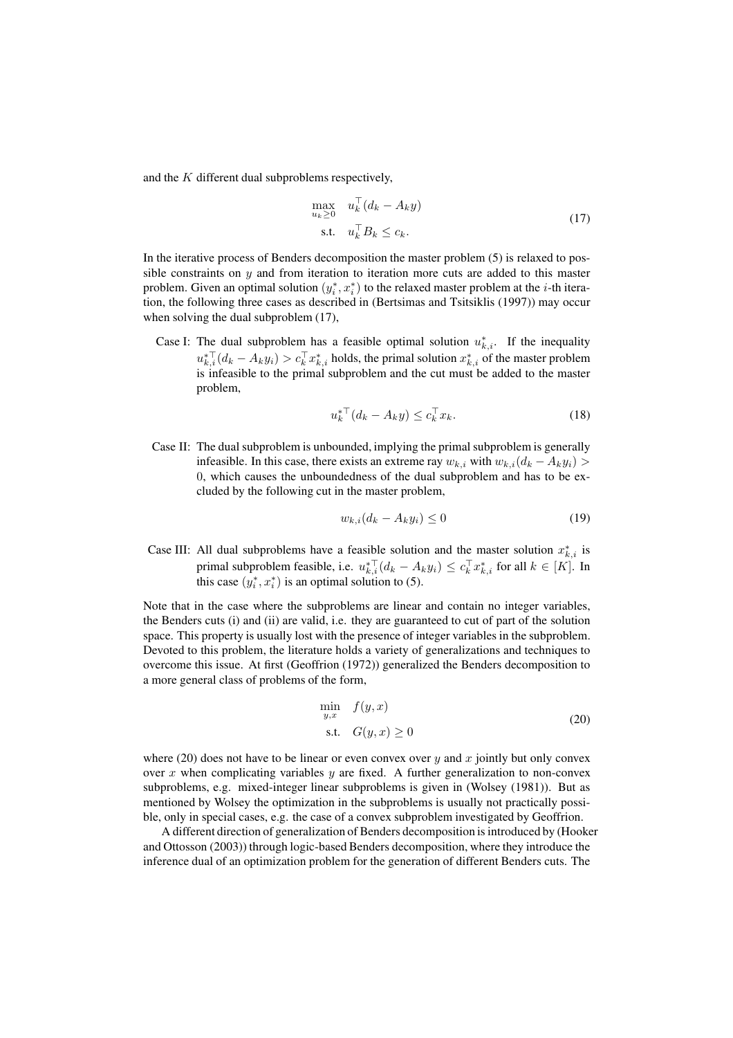and the K different dual subproblems respectively,

$$
\max_{u_k \ge 0} \quad u_k^\top (d_k - A_k y) \n\text{s.t.} \quad u_k^\top B_k \le c_k.
$$
\n(17)

In the iterative process of Benders decomposition the master problem (5) is relaxed to possible constraints on  $y$  and from iteration to iteration more cuts are added to this master problem. Given an optimal solution  $(y_i^*, x_i^*)$  to the relaxed master problem at the *i*-th iteration, the following three cases as described in (Bertsimas and Tsitsiklis (1997)) may occur when solving the dual subproblem (17),

Case I: The dual subproblem has a feasible optimal solution  $u_{k,i}^*$ . If the inequality  $u_{k,i}^{* \top}(d_k - A_k y_i) > c_k^\top x_{k,i}^*$  holds, the primal solution  $x_{k,i}^*$  of the master problem is infeasible to the primal subproblem and the cut must be added to the master problem,

$$
u_k^* \mathbf{I}(d_k - A_k y) \le c_k^{\mathbf{T}} x_k. \tag{18}
$$

Case II: The dual subproblem is unbounded, implying the primal subproblem is generally infeasible. In this case, there exists an extreme ray  $w_{k,i}$  with  $w_{k,i}(d_k - A_k y_i)$ 0, which causes the unboundedness of the dual subproblem and has to be excluded by the following cut in the master problem,

$$
w_{k,i}(d_k - A_k y_i) \le 0 \tag{19}
$$

Case III: All dual subproblems have a feasible solution and the master solution  $x_{k,i}^*$  is primal subproblem feasible, i.e.  $u_{k,i}^{* \top}(d_k - A_k y_i) \leq c_k^{\top} x_{k,i}^{*}$  for all  $k \in [K]$ . In this case  $(y_i^*, x_i^*)$  is an optimal solution to (5).

Note that in the case where the subproblems are linear and contain no integer variables, the Benders cuts (i) and (ii) are valid, i.e. they are guaranteed to cut of part of the solution space. This property is usually lost with the presence of integer variables in the subproblem. Devoted to this problem, the literature holds a variety of generalizations and techniques to overcome this issue. At first (Geoffrion (1972)) generalized the Benders decomposition to a more general class of problems of the form,

$$
\min_{y,x} f(y,x)
$$
  
s.t.  $G(y,x) \ge 0$  (20)

where (20) does not have to be linear or even convex over  $y$  and  $x$  jointly but only convex over x when complicating variables  $y$  are fixed. A further generalization to non-convex subproblems, e.g. mixed-integer linear subproblems is given in (Wolsey (1981)). But as mentioned by Wolsey the optimization in the subproblems is usually not practically possible, only in special cases, e.g. the case of a convex subproblem investigated by Geoffrion.

A different direction of generalization of Benders decomposition is introduced by (Hooker and Ottosson (2003)) through logic-based Benders decomposition, where they introduce the inference dual of an optimization problem for the generation of different Benders cuts. The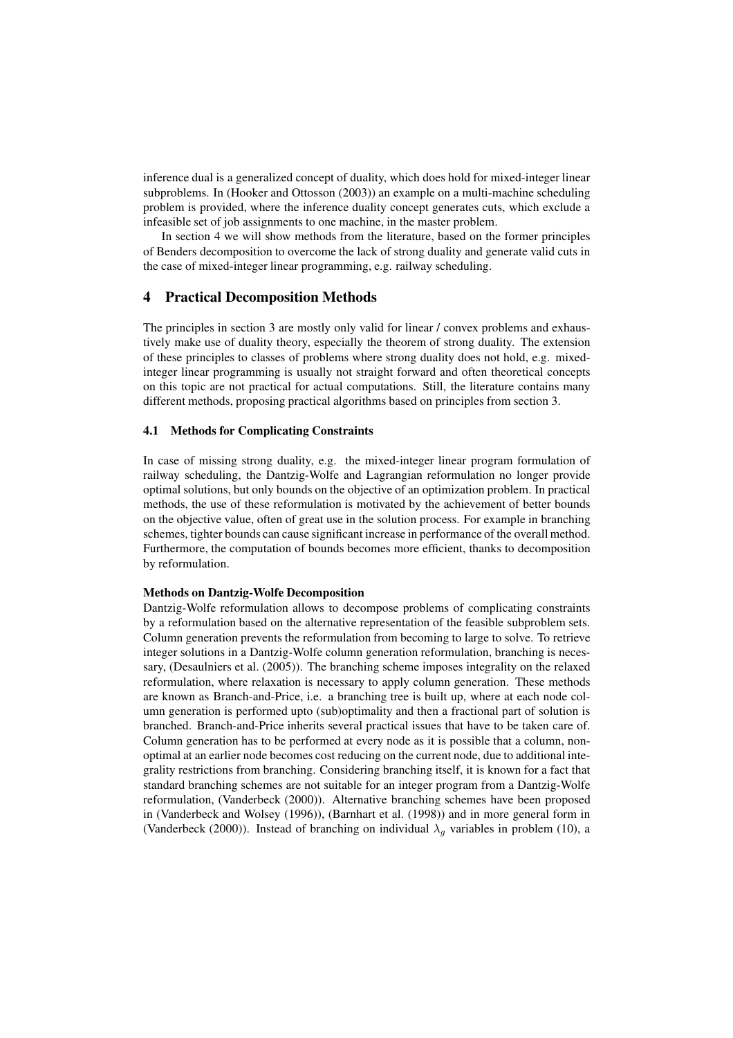inference dual is a generalized concept of duality, which does hold for mixed-integer linear subproblems. In (Hooker and Ottosson (2003)) an example on a multi-machine scheduling problem is provided, where the inference duality concept generates cuts, which exclude a infeasible set of job assignments to one machine, in the master problem.

In section 4 we will show methods from the literature, based on the former principles of Benders decomposition to overcome the lack of strong duality and generate valid cuts in the case of mixed-integer linear programming, e.g. railway scheduling.

## 4 Practical Decomposition Methods

The principles in section 3 are mostly only valid for linear / convex problems and exhaustively make use of duality theory, especially the theorem of strong duality. The extension of these principles to classes of problems where strong duality does not hold, e.g. mixedinteger linear programming is usually not straight forward and often theoretical concepts on this topic are not practical for actual computations. Still, the literature contains many different methods, proposing practical algorithms based on principles from section 3.

#### 4.1 Methods for Complicating Constraints

In case of missing strong duality, e.g. the mixed-integer linear program formulation of railway scheduling, the Dantzig-Wolfe and Lagrangian reformulation no longer provide optimal solutions, but only bounds on the objective of an optimization problem. In practical methods, the use of these reformulation is motivated by the achievement of better bounds on the objective value, often of great use in the solution process. For example in branching schemes, tighter bounds can cause significant increase in performance of the overall method. Furthermore, the computation of bounds becomes more efficient, thanks to decomposition by reformulation.

#### Methods on Dantzig-Wolfe Decomposition

Dantzig-Wolfe reformulation allows to decompose problems of complicating constraints by a reformulation based on the alternative representation of the feasible subproblem sets. Column generation prevents the reformulation from becoming to large to solve. To retrieve integer solutions in a Dantzig-Wolfe column generation reformulation, branching is necessary, (Desaulniers et al. (2005)). The branching scheme imposes integrality on the relaxed reformulation, where relaxation is necessary to apply column generation. These methods are known as Branch-and-Price, i.e. a branching tree is built up, where at each node column generation is performed upto (sub)optimality and then a fractional part of solution is branched. Branch-and-Price inherits several practical issues that have to be taken care of. Column generation has to be performed at every node as it is possible that a column, nonoptimal at an earlier node becomes cost reducing on the current node, due to additional integrality restrictions from branching. Considering branching itself, it is known for a fact that standard branching schemes are not suitable for an integer program from a Dantzig-Wolfe reformulation, (Vanderbeck (2000)). Alternative branching schemes have been proposed in (Vanderbeck and Wolsey (1996)), (Barnhart et al. (1998)) and in more general form in (Vanderbeck (2000)). Instead of branching on individual  $\lambda_q$  variables in problem (10), a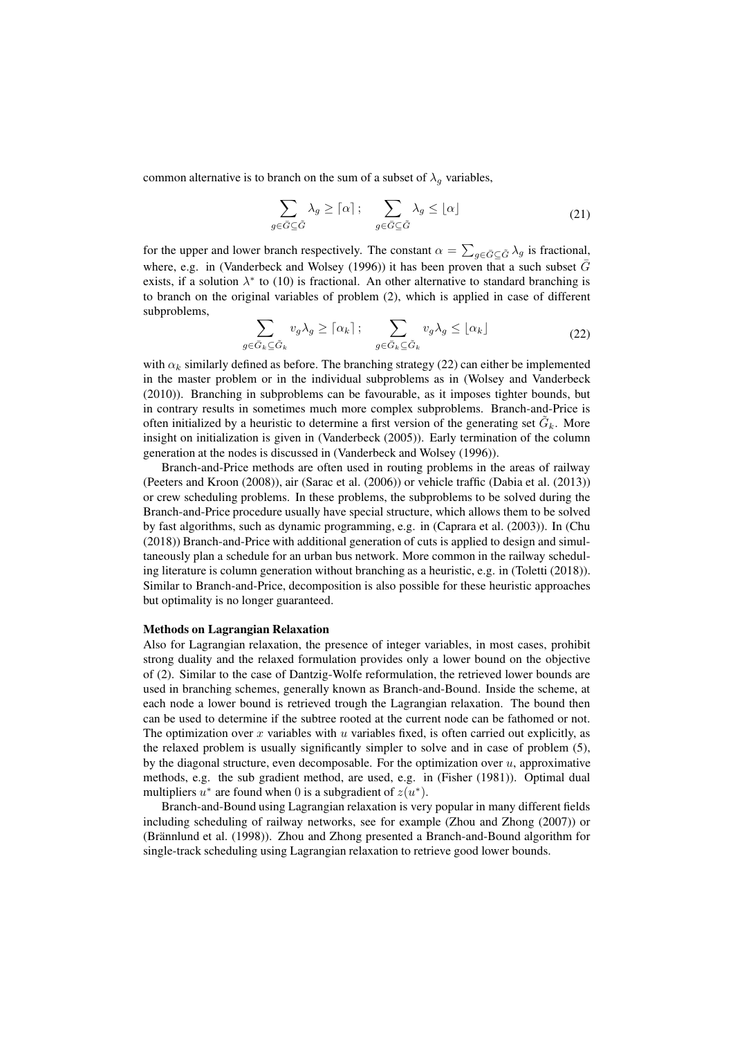common alternative is to branch on the sum of a subset of  $\lambda_q$  variables,

$$
\sum_{g \in \bar{G} \subseteq \tilde{G}} \lambda_g \geq \lceil \alpha \rceil; \quad \sum_{g \in \bar{G} \subseteq \tilde{G}} \lambda_g \leq \lfloor \alpha \rfloor \tag{21}
$$

for the upper and lower branch respectively. The constant  $\alpha = \sum_{g \in \bar{G} \subseteq \tilde{G}} \lambda_g$  is fractional, where, e.g. in (Vanderbeck and Wolsey (1996)) it has been proven that a such subset  $\bar{G}$ exists, if a solution  $\lambda^*$  to (10) is fractional. An other alternative to standard branching is to branch on the original variables of problem (2), which is applied in case of different subproblems,

$$
\sum_{\substack{\bar{G}_k \subseteq \bar{G}_k}} v_g \lambda_g \geq \lceil \alpha_k \rceil \, ; \quad \sum_{g \in \bar{G}_k \subseteq \bar{G}_k} v_g \lambda_g \leq \lfloor \alpha_k \rfloor \tag{22}
$$

with  $\alpha_k$  similarly defined as before. The branching strategy (22) can either be implemented in the master problem or in the individual subproblems as in (Wolsey and Vanderbeck (2010)). Branching in subproblems can be favourable, as it imposes tighter bounds, but in contrary results in sometimes much more complex subproblems. Branch-and-Price is often initialized by a heuristic to determine a first version of the generating set  $\tilde{G}_k$ . More insight on initialization is given in (Vanderbeck (2005)). Early termination of the column generation at the nodes is discussed in (Vanderbeck and Wolsey (1996)).

Branch-and-Price methods are often used in routing problems in the areas of railway (Peeters and Kroon (2008)), air (Sarac et al. (2006)) or vehicle traffic (Dabia et al. (2013)) or crew scheduling problems. In these problems, the subproblems to be solved during the Branch-and-Price procedure usually have special structure, which allows them to be solved by fast algorithms, such as dynamic programming, e.g. in (Caprara et al. (2003)). In (Chu (2018)) Branch-and-Price with additional generation of cuts is applied to design and simultaneously plan a schedule for an urban bus network. More common in the railway scheduling literature is column generation without branching as a heuristic, e.g. in (Toletti (2018)). Similar to Branch-and-Price, decomposition is also possible for these heuristic approaches but optimality is no longer guaranteed.

#### Methods on Lagrangian Relaxation

 $q$  $∈$ 

Also for Lagrangian relaxation, the presence of integer variables, in most cases, prohibit strong duality and the relaxed formulation provides only a lower bound on the objective of (2). Similar to the case of Dantzig-Wolfe reformulation, the retrieved lower bounds are used in branching schemes, generally known as Branch-and-Bound. Inside the scheme, at each node a lower bound is retrieved trough the Lagrangian relaxation. The bound then can be used to determine if the subtree rooted at the current node can be fathomed or not. The optimization over x variables with  $u$  variables fixed, is often carried out explicitly, as the relaxed problem is usually significantly simpler to solve and in case of problem (5), by the diagonal structure, even decomposable. For the optimization over  $u$ , approximative methods, e.g. the sub gradient method, are used, e.g. in (Fisher (1981)). Optimal dual multipliers  $u^*$  are found when 0 is a subgradient of  $z(u^*)$ .

Branch-and-Bound using Lagrangian relaxation is very popular in many different fields including scheduling of railway networks, see for example (Zhou and Zhong (2007)) or (Brännlund et al. (1998)). Zhou and Zhong presented a Branch-and-Bound algorithm for single-track scheduling using Lagrangian relaxation to retrieve good lower bounds.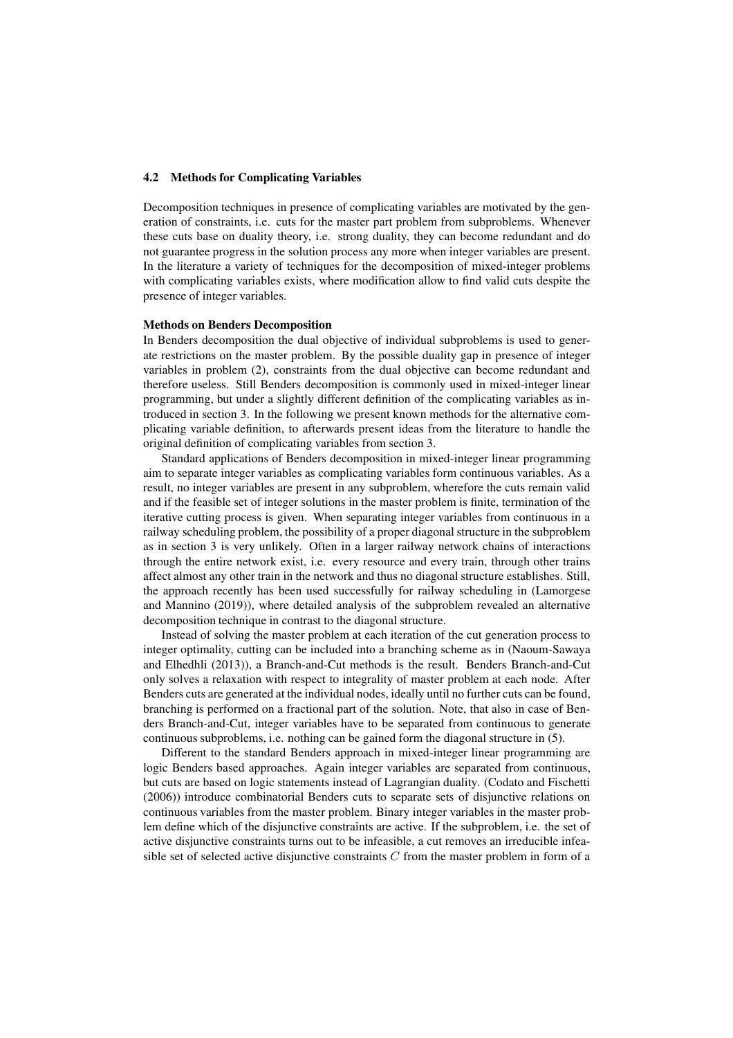#### 4.2 Methods for Complicating Variables

Decomposition techniques in presence of complicating variables are motivated by the generation of constraints, i.e. cuts for the master part problem from subproblems. Whenever these cuts base on duality theory, i.e. strong duality, they can become redundant and do not guarantee progress in the solution process any more when integer variables are present. In the literature a variety of techniques for the decomposition of mixed-integer problems with complicating variables exists, where modification allow to find valid cuts despite the presence of integer variables.

#### Methods on Benders Decomposition

In Benders decomposition the dual objective of individual subproblems is used to generate restrictions on the master problem. By the possible duality gap in presence of integer variables in problem (2), constraints from the dual objective can become redundant and therefore useless. Still Benders decomposition is commonly used in mixed-integer linear programming, but under a slightly different definition of the complicating variables as introduced in section 3. In the following we present known methods for the alternative complicating variable definition, to afterwards present ideas from the literature to handle the original definition of complicating variables from section 3.

Standard applications of Benders decomposition in mixed-integer linear programming aim to separate integer variables as complicating variables form continuous variables. As a result, no integer variables are present in any subproblem, wherefore the cuts remain valid and if the feasible set of integer solutions in the master problem is finite, termination of the iterative cutting process is given. When separating integer variables from continuous in a railway scheduling problem, the possibility of a proper diagonal structure in the subproblem as in section 3 is very unlikely. Often in a larger railway network chains of interactions through the entire network exist, i.e. every resource and every train, through other trains affect almost any other train in the network and thus no diagonal structure establishes. Still, the approach recently has been used successfully for railway scheduling in (Lamorgese and Mannino (2019)), where detailed analysis of the subproblem revealed an alternative decomposition technique in contrast to the diagonal structure.

Instead of solving the master problem at each iteration of the cut generation process to integer optimality, cutting can be included into a branching scheme as in (Naoum-Sawaya and Elhedhli (2013)), a Branch-and-Cut methods is the result. Benders Branch-and-Cut only solves a relaxation with respect to integrality of master problem at each node. After Benders cuts are generated at the individual nodes, ideally until no further cuts can be found, branching is performed on a fractional part of the solution. Note, that also in case of Benders Branch-and-Cut, integer variables have to be separated from continuous to generate continuous subproblems, i.e. nothing can be gained form the diagonal structure in (5).

Different to the standard Benders approach in mixed-integer linear programming are logic Benders based approaches. Again integer variables are separated from continuous, but cuts are based on logic statements instead of Lagrangian duality. (Codato and Fischetti (2006)) introduce combinatorial Benders cuts to separate sets of disjunctive relations on continuous variables from the master problem. Binary integer variables in the master problem define which of the disjunctive constraints are active. If the subproblem, i.e. the set of active disjunctive constraints turns out to be infeasible, a cut removes an irreducible infeasible set of selected active disjunctive constraints  $C$  from the master problem in form of a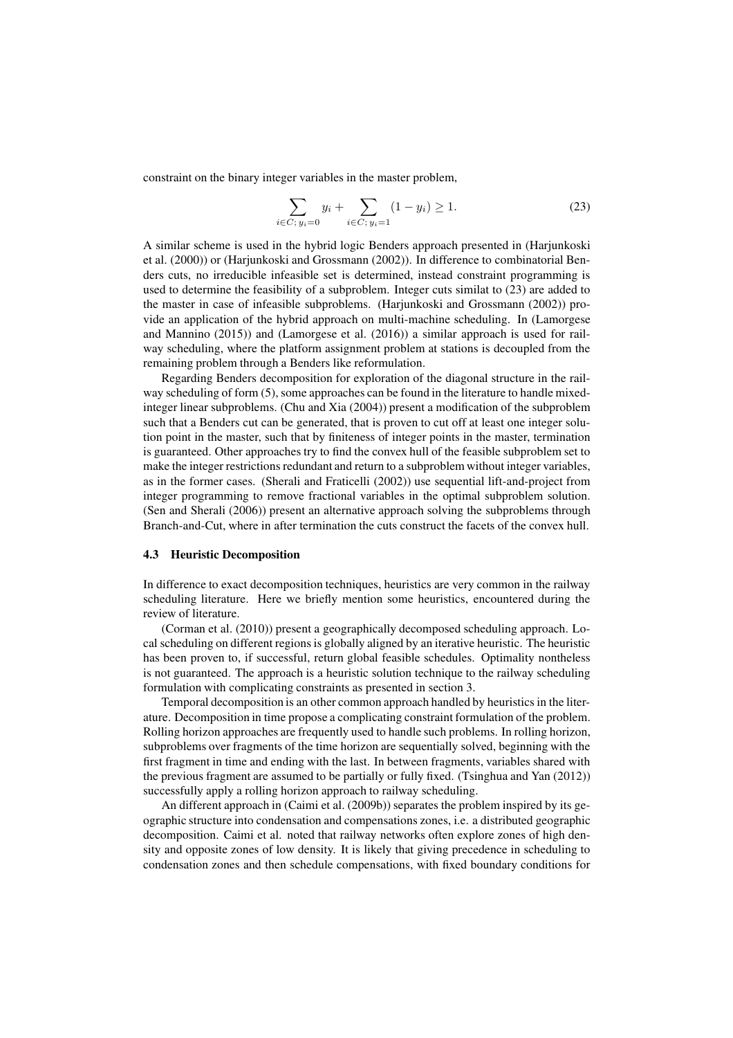constraint on the binary integer variables in the master problem,

$$
\sum_{i \in C; y_i = 0} y_i + \sum_{i \in C; y_i = 1} (1 - y_i) \ge 1.
$$
 (23)

A similar scheme is used in the hybrid logic Benders approach presented in (Harjunkoski et al. (2000)) or (Harjunkoski and Grossmann (2002)). In difference to combinatorial Benders cuts, no irreducible infeasible set is determined, instead constraint programming is used to determine the feasibility of a subproblem. Integer cuts similat to (23) are added to the master in case of infeasible subproblems. (Harjunkoski and Grossmann (2002)) provide an application of the hybrid approach on multi-machine scheduling. In (Lamorgese and Mannino (2015)) and (Lamorgese et al. (2016)) a similar approach is used for railway scheduling, where the platform assignment problem at stations is decoupled from the remaining problem through a Benders like reformulation.

Regarding Benders decomposition for exploration of the diagonal structure in the railway scheduling of form (5), some approaches can be found in the literature to handle mixedinteger linear subproblems. (Chu and Xia (2004)) present a modification of the subproblem such that a Benders cut can be generated, that is proven to cut off at least one integer solution point in the master, such that by finiteness of integer points in the master, termination is guaranteed. Other approaches try to find the convex hull of the feasible subproblem set to make the integer restrictions redundant and return to a subproblem without integer variables, as in the former cases. (Sherali and Fraticelli (2002)) use sequential lift-and-project from integer programming to remove fractional variables in the optimal subproblem solution. (Sen and Sherali (2006)) present an alternative approach solving the subproblems through Branch-and-Cut, where in after termination the cuts construct the facets of the convex hull.

#### 4.3 Heuristic Decomposition

In difference to exact decomposition techniques, heuristics are very common in the railway scheduling literature. Here we briefly mention some heuristics, encountered during the review of literature.

(Corman et al. (2010)) present a geographically decomposed scheduling approach. Local scheduling on different regions is globally aligned by an iterative heuristic. The heuristic has been proven to, if successful, return global feasible schedules. Optimality nontheless is not guaranteed. The approach is a heuristic solution technique to the railway scheduling formulation with complicating constraints as presented in section 3.

Temporal decomposition is an other common approach handled by heuristics in the literature. Decomposition in time propose a complicating constraint formulation of the problem. Rolling horizon approaches are frequently used to handle such problems. In rolling horizon, subproblems over fragments of the time horizon are sequentially solved, beginning with the first fragment in time and ending with the last. In between fragments, variables shared with the previous fragment are assumed to be partially or fully fixed. (Tsinghua and Yan (2012)) successfully apply a rolling horizon approach to railway scheduling.

An different approach in (Caimi et al. (2009b)) separates the problem inspired by its geographic structure into condensation and compensations zones, i.e. a distributed geographic decomposition. Caimi et al. noted that railway networks often explore zones of high density and opposite zones of low density. It is likely that giving precedence in scheduling to condensation zones and then schedule compensations, with fixed boundary conditions for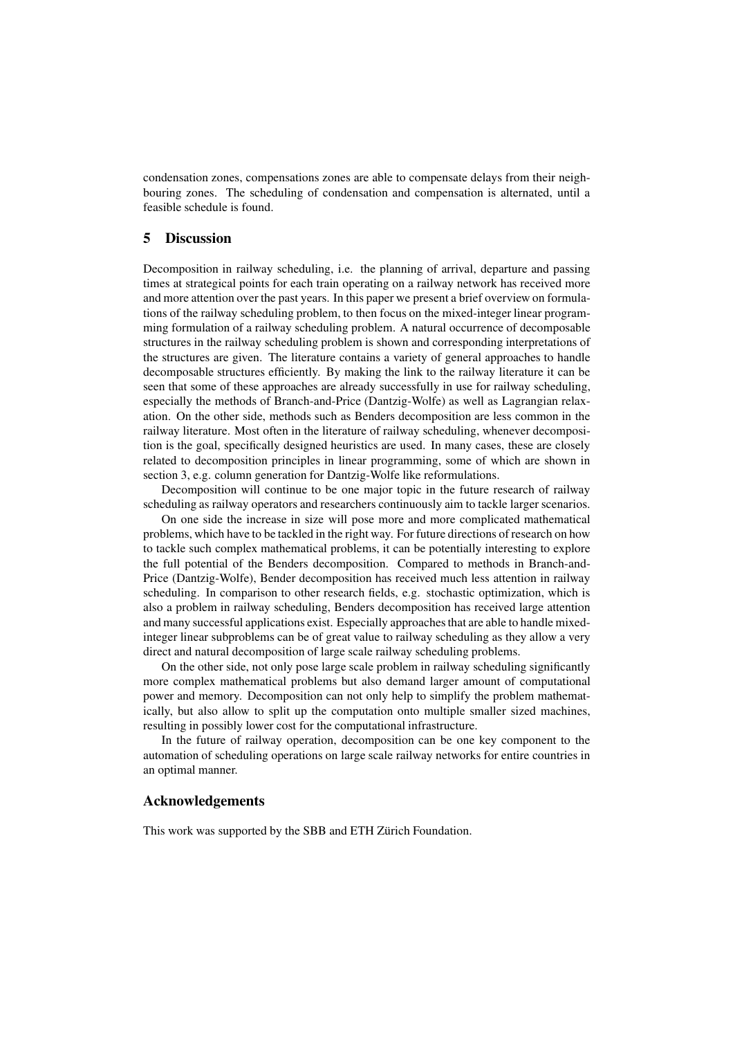condensation zones, compensations zones are able to compensate delays from their neighbouring zones. The scheduling of condensation and compensation is alternated, until a feasible schedule is found.

## 5 Discussion

Decomposition in railway scheduling, i.e. the planning of arrival, departure and passing times at strategical points for each train operating on a railway network has received more and more attention over the past years. In this paper we present a brief overview on formulations of the railway scheduling problem, to then focus on the mixed-integer linear programming formulation of a railway scheduling problem. A natural occurrence of decomposable structures in the railway scheduling problem is shown and corresponding interpretations of the structures are given. The literature contains a variety of general approaches to handle decomposable structures efficiently. By making the link to the railway literature it can be seen that some of these approaches are already successfully in use for railway scheduling, especially the methods of Branch-and-Price (Dantzig-Wolfe) as well as Lagrangian relaxation. On the other side, methods such as Benders decomposition are less common in the railway literature. Most often in the literature of railway scheduling, whenever decomposition is the goal, specifically designed heuristics are used. In many cases, these are closely related to decomposition principles in linear programming, some of which are shown in section 3, e.g. column generation for Dantzig-Wolfe like reformulations.

Decomposition will continue to be one major topic in the future research of railway scheduling as railway operators and researchers continuously aim to tackle larger scenarios.

On one side the increase in size will pose more and more complicated mathematical problems, which have to be tackled in the right way. For future directions of research on how to tackle such complex mathematical problems, it can be potentially interesting to explore the full potential of the Benders decomposition. Compared to methods in Branch-and-Price (Dantzig-Wolfe), Bender decomposition has received much less attention in railway scheduling. In comparison to other research fields, e.g. stochastic optimization, which is also a problem in railway scheduling, Benders decomposition has received large attention and many successful applications exist. Especially approaches that are able to handle mixedinteger linear subproblems can be of great value to railway scheduling as they allow a very direct and natural decomposition of large scale railway scheduling problems.

On the other side, not only pose large scale problem in railway scheduling significantly more complex mathematical problems but also demand larger amount of computational power and memory. Decomposition can not only help to simplify the problem mathematically, but also allow to split up the computation onto multiple smaller sized machines, resulting in possibly lower cost for the computational infrastructure.

In the future of railway operation, decomposition can be one key component to the automation of scheduling operations on large scale railway networks for entire countries in an optimal manner.

### Acknowledgements

This work was supported by the SBB and ETH Zürich Foundation.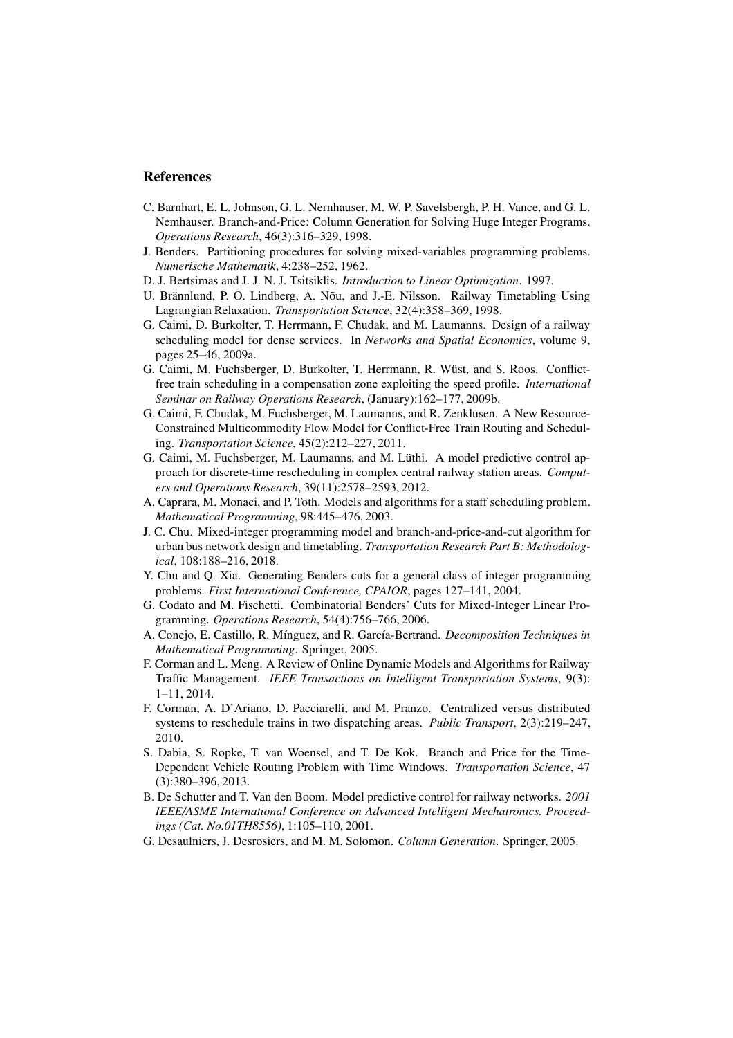## References

- C. Barnhart, E. L. Johnson, G. L. Nernhauser, M. W. P. Savelsbergh, P. H. Vance, and G. L. Nemhauser. Branch-and-Price: Column Generation for Solving Huge Integer Programs. *Operations Research*, 46(3):316–329, 1998.
- J. Benders. Partitioning procedures for solving mixed-variables programming problems. *Numerische Mathematik*, 4:238–252, 1962.
- D. J. Bertsimas and J. J. N. J. Tsitsiklis. *Introduction to Linear Optimization*. 1997.
- U. Brännlund, P. O. Lindberg, A. Nõu, and J.-E. Nilsson. Railway Timetabling Using Lagrangian Relaxation. *Transportation Science*, 32(4):358–369, 1998.
- G. Caimi, D. Burkolter, T. Herrmann, F. Chudak, and M. Laumanns. Design of a railway scheduling model for dense services. In *Networks and Spatial Economics*, volume 9, pages 25–46, 2009a.
- G. Caimi, M. Fuchsberger, D. Burkolter, T. Herrmann, R. W¨ust, and S. Roos. Conflictfree train scheduling in a compensation zone exploiting the speed profile. *International Seminar on Railway Operations Research*, (January):162–177, 2009b.
- G. Caimi, F. Chudak, M. Fuchsberger, M. Laumanns, and R. Zenklusen. A New Resource-Constrained Multicommodity Flow Model for Conflict-Free Train Routing and Scheduling. *Transportation Science*, 45(2):212–227, 2011.
- G. Caimi, M. Fuchsberger, M. Laumanns, and M. Lüthi. A model predictive control approach for discrete-time rescheduling in complex central railway station areas. *Computers and Operations Research*, 39(11):2578–2593, 2012.
- A. Caprara, M. Monaci, and P. Toth. Models and algorithms for a staff scheduling problem. *Mathematical Programming*, 98:445–476, 2003.
- J. C. Chu. Mixed-integer programming model and branch-and-price-and-cut algorithm for urban bus network design and timetabling. *Transportation Research Part B: Methodological*, 108:188–216, 2018.
- Y. Chu and Q. Xia. Generating Benders cuts for a general class of integer programming problems. *First International Conference, CPAIOR*, pages 127–141, 2004.
- G. Codato and M. Fischetti. Combinatorial Benders' Cuts for Mixed-Integer Linear Programming. *Operations Research*, 54(4):756–766, 2006.
- A. Conejo, E. Castillo, R. M´ınguez, and R. Garc´ıa-Bertrand. *Decomposition Techniques in Mathematical Programming*. Springer, 2005.
- F. Corman and L. Meng. A Review of Online Dynamic Models and Algorithms for Railway Traffic Management. *IEEE Transactions on Intelligent Transportation Systems*, 9(3): 1–11, 2014.
- F. Corman, A. D'Ariano, D. Pacciarelli, and M. Pranzo. Centralized versus distributed systems to reschedule trains in two dispatching areas. *Public Transport*, 2(3):219–247, 2010.
- S. Dabia, S. Ropke, T. van Woensel, and T. De Kok. Branch and Price for the Time-Dependent Vehicle Routing Problem with Time Windows. *Transportation Science*, 47 (3):380–396, 2013.
- B. De Schutter and T. Van den Boom. Model predictive control for railway networks. *2001 IEEE/ASME International Conference on Advanced Intelligent Mechatronics. Proceedings (Cat. No.01TH8556)*, 1:105–110, 2001.
- G. Desaulniers, J. Desrosiers, and M. M. Solomon. *Column Generation*. Springer, 2005.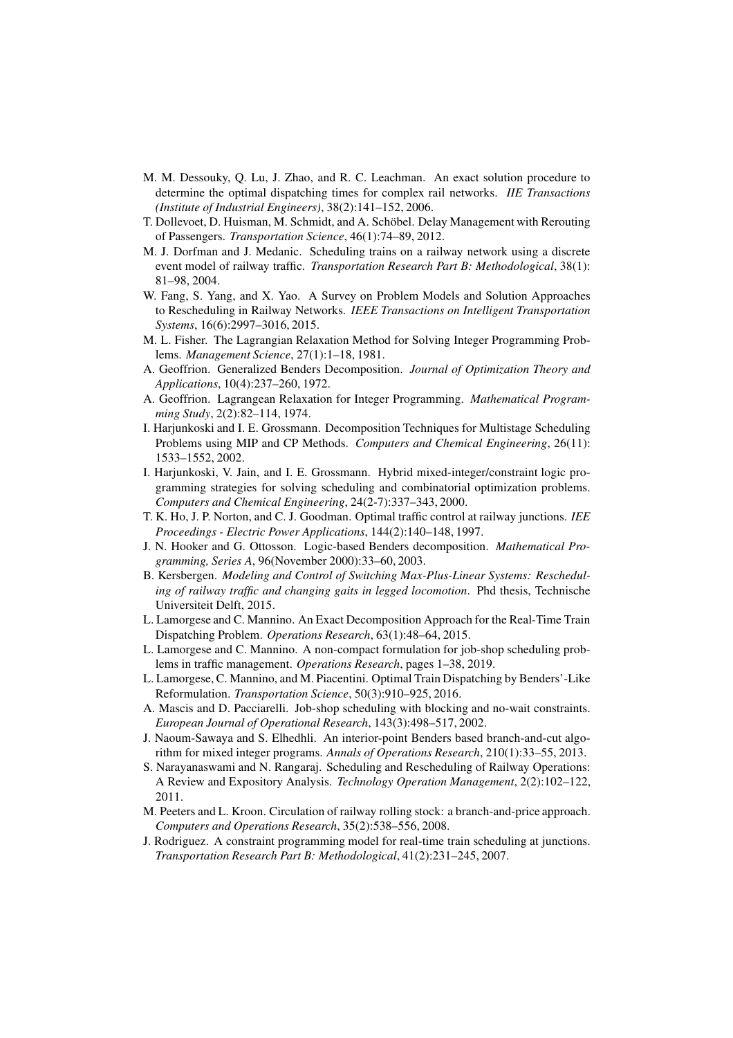- M. M. Dessouky, Q. Lu, J. Zhao, and R. C. Leachman. An exact solution procedure to determine the optimal dispatching times for complex rail networks. *IIE Transactions (Institute of Industrial Engineers)*, 38(2):141–152, 2006.
- T. Dollevoet, D. Huisman, M. Schmidt, and A. Schöbel. Delay Management with Rerouting of Passengers. *Transportation Science*, 46(1):74–89, 2012.
- M. J. Dorfman and J. Medanic. Scheduling trains on a railway network using a discrete event model of railway traffic. *Transportation Research Part B: Methodological*, 38(1): 81–98, 2004.
- W. Fang, S. Yang, and X. Yao. A Survey on Problem Models and Solution Approaches to Rescheduling in Railway Networks. *IEEE Transactions on Intelligent Transportation Systems*, 16(6):2997–3016, 2015.
- M. L. Fisher. The Lagrangian Relaxation Method for Solving Integer Programming Problems. *Management Science*, 27(1):1–18, 1981.
- A. Geoffrion. Generalized Benders Decomposition. *Journal of Optimization Theory and Applications*, 10(4):237–260, 1972.
- A. Geoffrion. Lagrangean Relaxation for Integer Programming. *Mathematical Programming Study*, 2(2):82–114, 1974.
- I. Harjunkoski and I. E. Grossmann. Decomposition Techniques for Multistage Scheduling Problems using MIP and CP Methods. *Computers and Chemical Engineering*, 26(11): 1533–1552, 2002.
- I. Harjunkoski, V. Jain, and I. E. Grossmann. Hybrid mixed-integer/constraint logic programming strategies for solving scheduling and combinatorial optimization problems. *Computers and Chemical Engineering*, 24(2-7):337–343, 2000.
- T. K. Ho, J. P. Norton, and C. J. Goodman. Optimal traffic control at railway junctions. *IEE Proceedings - Electric Power Applications*, 144(2):140–148, 1997.
- J. N. Hooker and G. Ottosson. Logic-based Benders decomposition. *Mathematical Programming, Series A*, 96(November 2000):33–60, 2003.
- B. Kersbergen. *Modeling and Control of Switching Max-Plus-Linear Systems: Rescheduling of railway traffic and changing gaits in legged locomotion*. Phd thesis, Technische Universiteit Delft, 2015.
- L. Lamorgese and C. Mannino. An Exact Decomposition Approach for the Real-Time Train Dispatching Problem. *Operations Research*, 63(1):48–64, 2015.
- L. Lamorgese and C. Mannino. A non-compact formulation for job-shop scheduling problems in traffic management. *Operations Research*, pages 1–38, 2019.
- L. Lamorgese, C. Mannino, and M. Piacentini. Optimal Train Dispatching by Benders'-Like Reformulation. *Transportation Science*, 50(3):910–925, 2016.
- A. Mascis and D. Pacciarelli. Job-shop scheduling with blocking and no-wait constraints. *European Journal of Operational Research*, 143(3):498–517, 2002.
- J. Naoum-Sawaya and S. Elhedhli. An interior-point Benders based branch-and-cut algorithm for mixed integer programs. *Annals of Operations Research*, 210(1):33–55, 2013.
- S. Narayanaswami and N. Rangaraj. Scheduling and Rescheduling of Railway Operations: A Review and Expository Analysis. *Technology Operation Management*, 2(2):102–122, 2011.
- M. Peeters and L. Kroon. Circulation of railway rolling stock: a branch-and-price approach. *Computers and Operations Research*, 35(2):538–556, 2008.
- J. Rodriguez. A constraint programming model for real-time train scheduling at junctions. *Transportation Research Part B: Methodological*, 41(2):231–245, 2007.